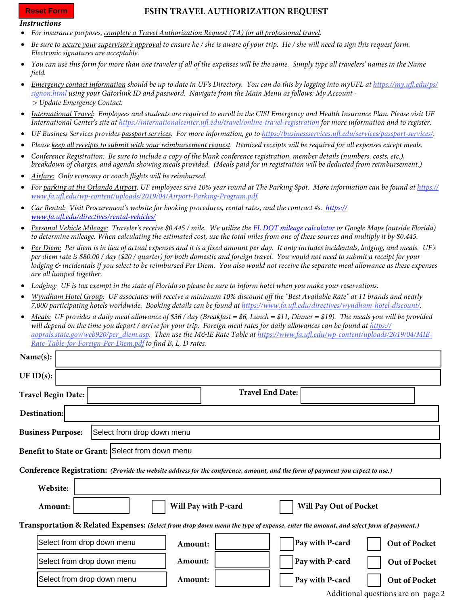## **Reset Form**

## **FSHN TRAVEL AUTHORIZATION REQUEST**

## *Instructions*

- *For insurance purposes, complete a Travel Authorization Request (TA) for all professional travel.*
- *Be sure to secure your supervisor's approval to ensure he / she is aware of your trip. He / she will need to sign this request form. Electronic signatures are acceptable.*
- *You can use this form for more than one traveler if all of the expenses will be the same. Simply type all travelers' names in the Name field.*
- *Emergency contact information should be up to date in UF's Directory. You can do this by logging into myUFL at https://my.ufl.edu/ps/ signon.html using your Gatorlink ID and password. Navigate from the Main Menu as follows: My Account - > Update Emergency Contact.*
- *International Travel: Employees and students are required to enroll in the CISI Emergency and Health Insurance Plan. Please visit UF International Center's site at https://internationalcenter.ufl.edu/travel/online-travel-registration for more information and to register.*
- *UF Business Services provides passport services. For more information, go to https://businessservices.ufl.edu/services/passport-services/.*
- *Please keep all receipts to submit with your reimbursement request. Itemized receipts will be required for all expenses except meals.*
- *Conference Registration: Be sure to include a copy of the blank conference registration, member details (numbers, costs, etc.), breakdown of charges, and agenda showing meals provided. (Meals paid for in registration will be deducted from reimbursement.)*
- *Airfare: Only economy or coach flights will be reimbursed.*
- *For parking at the Orlando Airport, UF employees save 10% year round at The Parking Spot. More information can be found at https:// www.fa.ufl.edu/wp-content/uploads/2019/04/Airport-Parking-Program.pdf.*
- *Car Rental: Visit Procurement's website for booking procedures, rental rates, and the contract #s. https:// www.fa.ufl.edu/directives/rental-vehicles/*
- *Personal Vehicle Mileage: Traveler's receive \$0.445 / mile. We utilize the [FL DOT mileage calculator](https://fdotewp1.dot.state.fl.us/citytocitymileage/viewer.aspx) or Google Maps (outside Florida) to determine mileage. When calculating the estimated cost, use the total miles from one of these sources and multiply it by \$0.445.*
- *Per Diem: Per diem is in lieu of actual expenses and it is a fixed amount per day. It only includes incidentals, lodging, and meals. UF's per diem rate is \$80.00 / day (\$20 / quarter) for both domestic and foreign travel. You would not need to submit a receipt for your lodging & incidentals if you select to be reimbursed Per Diem. You also would not receive the separate meal allowance as these expenses are all lumped together.*
- *Lodging: UF is tax exempt in the state of Florida so please be sure to inform hotel when you make your reservations.*
- *Wyndham Hotel Group: UF associates will receive a minimum 10% discount off the "Best Available Rate" at 11 brands and nearly 7,000 participating hotels worldwide. Booking details can be found at https://www.fa.ufl.edu/directives/wyndham-hotel-discount/.*
- *Meals: UF provides a daily meal allowance of \$36 / day (Breakfast = \$6, Lunch = \$11, Dinner = \$19). The meals you will be provided will depend on the time you depart / arrive for your trip. Foreign meal rates for daily allowances can be found at https://* aoprals.state.gov/web920/per\_diem.asp. Then use the M&IE Rate Table at https://www.fa.ufl.edu/wp-content/uploads/2019/04/MIE-*Rate-Table-for-Foreign-Per-Diem.pdf to find B, L, D rates.*

| Name(s):                                                                                                                           |                      |                         |                               |                                                   |  |  |  |  |
|------------------------------------------------------------------------------------------------------------------------------------|----------------------|-------------------------|-------------------------------|---------------------------------------------------|--|--|--|--|
| UF $ID(s)$ :                                                                                                                       |                      |                         |                               |                                                   |  |  |  |  |
| <b>Travel Begin Date:</b>                                                                                                          |                      | <b>Travel End Date:</b> |                               |                                                   |  |  |  |  |
| <b>Destination:</b>                                                                                                                |                      |                         |                               |                                                   |  |  |  |  |
| <b>Business Purpose:</b><br>Select from drop down menu                                                                             |                      |                         |                               |                                                   |  |  |  |  |
| Benefit to State or Grant: Select from down menu                                                                                   |                      |                         |                               |                                                   |  |  |  |  |
| Conference Registration: (Provide the website address for the conference, amount, and the form of payment you expect to use.)      |                      |                         |                               |                                                   |  |  |  |  |
| Website:                                                                                                                           |                      |                         |                               |                                                   |  |  |  |  |
| Amount:                                                                                                                            | Will Pay with P-card |                         | <b>Will Pay Out of Pocket</b> |                                                   |  |  |  |  |
| Transportation & Related Expenses: (Select from drop down menu the type of expense, enter the amount, and select form of payment.) |                      |                         |                               |                                                   |  |  |  |  |
| Select from drop down menu                                                                                                         | Amount:              |                         | Pay with P-card               | Out of Pocket                                     |  |  |  |  |
| Select from drop down menu                                                                                                         | Amount:              |                         | Pay with P-card               | Out of Pocket                                     |  |  |  |  |
| Select from drop down menu                                                                                                         | Amount:              |                         | Pay with P-card               | Out of Pocket<br>Additional questions are an nage |  |  |  |  |

Additional questions are on page 2